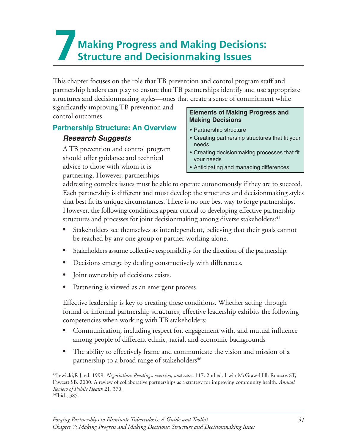# **7Making Progress and Making Decisions: Structure and Decisionmaking Issues**

This chapter focuses on the role that TB prevention and control program staff and partnership leaders can play to ensure that TB partnerships identify and use appropriate structures and decisionmaking styles—ones that create a sense of commitment while

significantly improving TB prevention and<br> **Elements of Making Progress and**<br> **Making Decisions** 

### **Partnership Structure: An Overview | • Partnership structure**

A TB prevention and control program<br>
should offer guidance and technical<br>
vour needs advice to those with whom it is  $\cdot$  Anticipating and managing differences partnering. However, partnerships

- 
- **Research Suggests**<br> **•** Creating partnership structures that fit your<br>
needs
	-
	-

addressing complex issues must be able to operate autonomously if they are to succeed. Each partnership is different and must develop the structures and decisionmaking styles that best fit its unique circumstances. There is no one best way to forge partnerships. However, the following conditions appear critical to developing effective partnership structures and processes for joint decisionmaking among diverse stakeholders:<sup>45</sup>

- Stakeholders see themselves as interdependent, believing that their goals cannot be reached by any one group or partner working alone.
- Stakeholders assume collective responsibility for the direction of the partnership.
- Decisions emerge by dealing constructively with differences.
- Joint ownership of decisions exists.
- Partnering is viewed as an emergent process.

Effective leadership is key to creating these conditions. Whether acting through formal or informal partnership structures, effective leadership exhibits the following competencies when working with TB stakeholders:

- Communication, including respect for, engagement with, and mutual influence among people of different ethnic, racial, and economic backgrounds
- The ability to effectively frame and communicate the vision and mission of a partnership to a broad range of stakeholders<sup>46</sup>

<sup>&</sup>lt;sup>45</sup>Lewicki,R J, ed. 1999. *Negotiation: Readings, exercises, and eases*, 117. 2nd ed. Irwin McGraw-Hill; Roussos ST, Fawcett SB. 2000. A review of collaborative partnerships as a strategy for improving community health. *Annual Review of Public Health* 21, 370.<br><sup>46</sup>Ibid., 385.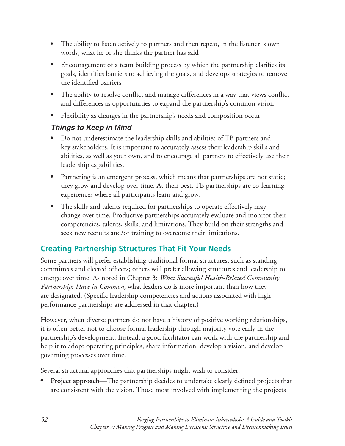- The ability to listen actively to partners and then repeat, in the listener=s own words, what he or she thinks the partner has said
- Encouragement of a team building process by which the partnership clarifies its goals, identifies barriers to achieving the goals, and develops strategies to remove the identified barriers
- The ability to resolve conflict and manage differences in a way that views conflict and differences as opportunities to expand the partnership's common vision
- Flexibility as changes in the partnership's needs and composition occur

### *Things to Keep in Mind*

- Do not underestimate the leadership skills and abilities of TB partners and key stakeholders. It is important to accurately assess their leadership skills and abilities, as well as your own, and to encourage all partners to effectively use their leadership capabilities.
- Partnering is an emergent process, which means that partnerships are not static; they grow and develop over time. At their best, TB partnerships are co-learning experiences where all participants learn and grow.
- The skills and talents required for partnerships to operate effectively may change over time. Productive partnerships accurately evaluate and monitor their competencies, talents, skills, and limitations. They build on their strengths and seek new recruits and/or training to overcome their limitations.

# **Creating Partnership Structures That Fit Your Needs**

Some partners will prefer establishing traditional formal structures, such as standing committees and elected officers; others will prefer allowing structures and leadership to emerge over time. As noted in Chapter 3: *What Successful Health-Related Community Partnerships Have in Common*, what leaders do is more important than how they are designated. (Specific leadership competencies and actions associated with high performance partnerships are addressed in that chapter.)

However, when diverse partners do not have a history of positive working relationships, it is often better not to choose formal leadership through majority vote early in the partnership's development. Instead, a good facilitator can work with the partnership and help it to adopt operating principles, share information, develop a vision, and develop governing processes over time.

Several structural approaches that partnerships might wish to consider:

**Project approach—The partnership decides to undertake clearly defined projects that** are consistent with the vision. Those most involved with implementing the projects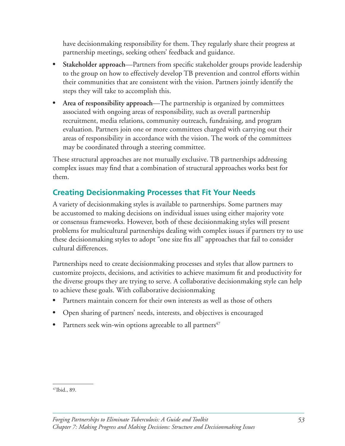have decisionmaking responsibility for them. They regularly share their progress at partnership meetings, seeking others' feedback and guidance.

- Stakeholder approach—Partners from specific stakeholder groups provide leadership to the group on how to effectively develop TB prevention and control efforts within their communities that are consistent with the vision. Partners jointly identify the steps they will take to accomplish this.
- Area of responsibility approach—The partnership is organized by committees associated with ongoing areas of responsibility, such as overall partnership recruitment, media relations, community outreach, fundraising, and program evaluation. Partners join one or more committees charged with carrying out their areas of responsibility in accordance with the vision. The work of the committees may be coordinated through a steering committee.

These structural approaches are not mutually exclusive. TB partnerships addressing complex issues may find that a combination of structural approaches works best for them. 

## **Creating Decisionmaking Processes that Fit Your Needs**

A variety of decisionmaking styles is available to partnerships. Some partners may be accustomed to making decisions on individual issues using either majority vote or consensus frameworks. However, both of these decisionmaking styles will present problems for multicultural partnerships dealing with complex issues if partners try to use these decisionmaking styles to adopt "one size fits all" approaches that fail to consider cultural differences.

Partnerships need to create decisionmaking processes and styles that allow partners to customize projects, decisions, and activities to achieve maximum fit and productivity for the diverse groups they are trying to serve. A collaborative decisionmaking style can help to achieve these goals. With collaborative decisionmaking

- Partners maintain concern for their own interests as well as those of others
- Open sharing of partners' needs, interests, and objectives is encouraged
- Partners seek win-win options agreeable to all partners<sup>47</sup>

<sup>&</sup>lt;sup>47</sup>Ibid., 89.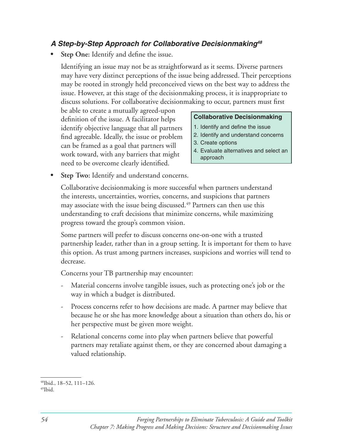#### *A Step-by-Step Approach for Collaborative Decisionmaking48*

• Step One: Identify and define the issue.

Identifying an issue may not be as straightforward as it seems. Diverse partners may have very distinct perceptions of the issue being addressed. Their perceptions may be rooted in strongly held preconceived views on the best way to address the issue. However, at this stage of the decisionmaking process, it is inappropriate to discuss solutions. For collaborative decisionmaking to occur, partners must first

be able to create a mutually agreed-upon<br>definition of the issue. A facilitator helps **Collaborative Decisionmaking** identify objective language that all partners  $\begin{bmatrix} 1. \end{bmatrix}$  lend the issue standard concerns  $\begin{bmatrix} 1. \end{bmatrix}$  and  $\begin{bmatrix} 1. \end{bmatrix}$  and  $\begin{bmatrix} 1. \end{bmatrix}$  are numbered to  $\begin{bmatrix} 1. \end{bmatrix}$  and  $\begin{bmatrix} 1. \end{bmatrix}$  and un find agreeable. Ideally, the issue or problem<br>can be framed as a goal that partners will<br>work toward, with any barriers that might<br>4. Evaluate alternatives and select an<br>approach need to be overcome clearly identified.

- 
- 
- 
- 
- Step Two: Identify and understand concerns.

Collaborative decisionmaking is more successful when partners understand the interests, uncertainties, worries, concerns, and suspicions that partners may associate with the issue being discussed.<sup>49</sup> Partners can then use this understanding to craft decisions that minimize concerns, while maximizing progress toward the group's common vision.

Some partners will prefer to discuss concerns one-on-one with a trusted partnership leader, rather than in a group setting. It is important for them to have this option. As trust among partners increases, suspicions and worries will tend to decrease.

Concerns your TB partnership may encounter:

- Material concerns involve tangible issues, such as protecting one's job or the way in which a budget is distributed.
- Process concerns refer to how decisions are made. A partner may believe that because he or she has more knowledge about a situation than others do, his or her perspective must be given more weight.
- Relational concerns come into play when partners believe that powerful partners may retaliate against them, or they are concerned about damaging a valued relationship.

<sup>48</sup>Ibid., 18–52, 111–126. 49Ibid.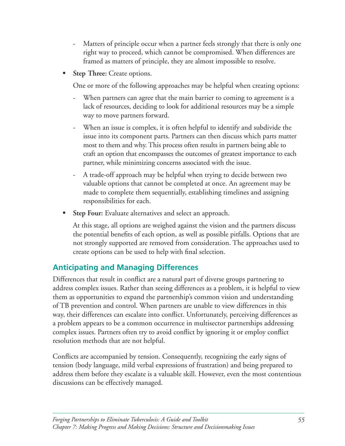- Matters of principle occur when a partner feels strongly that there is only one right way to proceed, which cannot be compromised. When differences are framed as matters of principle, they are almost impossible to resolve.
- **Step Three:** Create options.

One or more of the following approaches may be helpful when creating options:

- When partners can agree that the main barrier to coming to agreement is a lack of resources, deciding to look for additional resources may be a simple way to move partners forward.
- When an issue is complex, it is often helpful to identify and subdivide the issue into its component parts. Partners can then discuss which parts matter most to them and why. This process often results in partners being able to craft an option that encompasses the outcomes of greatest importance to each partner, while minimizing concerns associated with the issue.
- A trade-off approach may be helpful when trying to decide between two valuable options that cannot be completed at once. An agreement may be made to complete them sequentially, establishing timelines and assigning responsibilities for each.
- **Step Four:** Evaluate alternatives and select an approach.

At this stage, all options are weighed against the vision and the partners discuss the potential benefits of each option, as well as possible pitfalls. Options that are not strongly supported are removed from consideration. The approaches used to create options can be used to help with final selection.

# **Anticipating and Managing Differences**

Differences that result in conflict are a natural part of diverse groups partnering to address complex issues. Rather than seeing differences as a problem, it is helpful to view them as opportunities to expand the partnership's common vision and understanding of TB prevention and control. When partners are unable to view differences in this way, their differences can escalate into conflict. Unfortunately, perceiving differences as a problem appears to be a common occurrence in multisector partnerships addressing complex issues. Partners often try to avoid conflict by ignoring it or employ conflict resolution methods that are not helpful.

Conflicts are accompanied by tension. Consequently, recognizing the early signs of tension (body language, mild verbal expressions of frustration) and being prepared to address them before they escalate is a valuable skill. However, even the most contentious discussions can be effectively managed.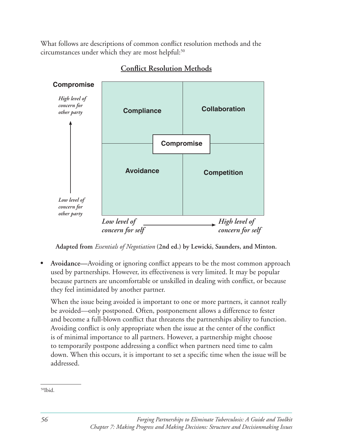What follows are descriptions of common conflict resolution methods and the circumstances under which they are most helpful:<sup>50</sup>



#### **Conflict Resolution Methods**

**Adapted from** *Essentials of Negotiation* **(2nd ed.) by Lewicki, Saunders, and Minton.** 

Avoidance—Avoiding or ignoring conflict appears to be the most common approach used by partnerships. However, its effectiveness is very limited. It may be popular because partners are uncomfortable or unskilled in dealing with conflict, or because they feel intimidated by another partner.

When the issue being avoided is important to one or more partners, it cannot really be avoided—only postponed. Often, postponement allows a difference to fester and become a full-blown conflict that threatens the partnerships ability to function. Avoiding conflict is only appropriate when the issue at the center of the conflict is of minimal importance to all partners. However, a partnership might choose to temporarily postpone addressing a conflict when partners need time to calm down. When this occurs, it is important to set a specific time when the issue will be addressed. 

 <sup>50</sup>Ibid.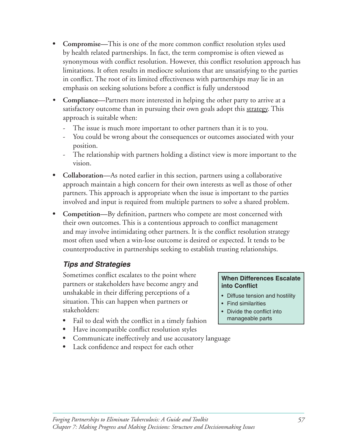- **Compromise—This** is one of the more common conflict resolution styles used by health related partnerships. In fact, the term compromise is often viewed as synonymous with conflict resolution. However, this conflict resolution approach has limitations. It often results in mediocre solutions that are unsatisfying to the parties in conflict. The root of its limited effectiveness with partnerships may lie in an emphasis on seeking solutions before a conflict is fully understood
- Compliance—Partners more interested in helping the other party to arrive at a satisfactory outcome than in pursuing their own goals adopt this strategy. This approach is suitable when:
	- The issue is much more important to other partners than it is to you.
	- You could be wrong about the consequences or outcomes associated with your position.
	- The relationship with partners holding a distinct view is more important to the vision.
- Collaboration—As noted earlier in this section, partners using a collaborative approach maintain a high concern for their own interests as well as those of other partners. This approach is appropriate when the issue is important to the parties involved and input is required from multiple partners to solve a shared problem.
- Competition—By definition, partners who compete are most concerned with their own outcomes. This is a contentious approach to conflict management and may involve intimidating other partners. It is the conflict resolution strategy most often used when a win-lose outcome is desired or expected. It tends to be counterproductive in partnerships seeking to establish trusting relationships.

### *Tips and Strategies*

Sometimes conflict escalates to the point where **When Differences Escalate** partners or stakeholders have become angry and **into Conflict** unshakable in their differing perceptions of a  $\cdot$  Diffuse tension and hostility situation. This can happen when partners or  $\cdot$  Find similarities stakeholders:  $\bullet$  Divide the conflict into

- Fail to deal with the conflict in a timely fashion
- Have incompatible conflict resolution styles
- Communicate ineffectively and use accusatory language
- Lack confidence and respect for each other

- 
- 
- manageable parts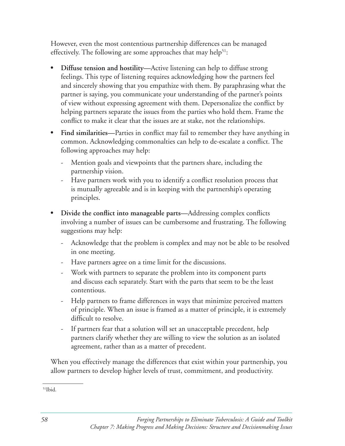However, even the most contentious partnership differences can be managed effectively. The following are some approaches that may help<sup>51</sup>:

- **Diffuse tension and hostility—Active listening can help to diffuse strong** feelings. This type of listening requires acknowledging how the partners feel and sincerely showing that you empathize with them. By paraphrasing what the partner is saying, you communicate your understanding of the partner's points of view without expressing agreement with them. Depersonalize the conflict by helping partners separate the issues from the parties who hold them. Frame the conflict to make it clear that the issues are at stake, not the relationships.
- Find similarities—Parties in conflict may fail to remember they have anything in common. Acknowledging commonalties can help to de-escalate a conflict. The following approaches may help:
	- Mention goals and viewpoints that the partners share, including the partnership vision.
	- Have partners work with you to identify a conflict resolution process that is mutually agreeable and is in keeping with the partnership's operating principles.
- Divide the conflict into manageable parts—Addressing complex conflicts involving a number of issues can be cumbersome and frustrating. The following suggestions may help:
	- Acknowledge that the problem is complex and may not be able to be resolved in one meeting.
	- Have partners agree on a time limit for the discussions.
	- Work with partners to separate the problem into its component parts and discuss each separately. Start with the parts that seem to be the least contentious.
	- Help partners to frame differences in ways that minimize perceived matters of principle. When an issue is framed as a matter of principle, it is extremely difficult to resolve.
	- If partners fear that a solution will set an unacceptable precedent, help partners clarify whether they are willing to view the solution as an isolated agreement, rather than as a matter of precedent.

When you effectively manage the differences that exist within your partnership, you allow partners to develop higher levels of trust, commitment, and productivity.

 $51$ Ibid.